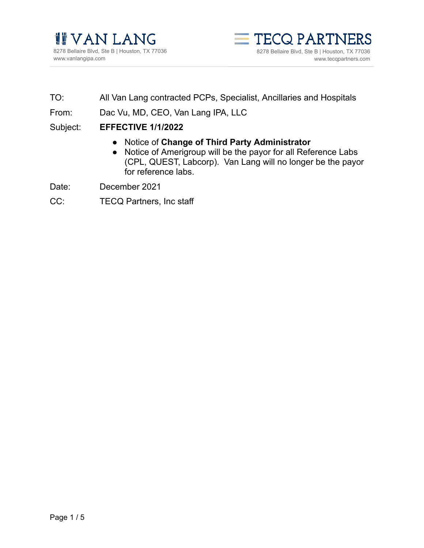



- TO: All Van Lang contracted PCPs, Specialist, Ancillaries and Hospitals
- From: Dac Vu, MD, CEO, Van Lang IPA, LLC

## Subject: **EFFECTIVE 1/1/2022**

- Notice of **Change of Third Party Administrator**
- Notice of Amerigroup will be the payor for all Reference Labs (CPL, QUEST, Labcorp). Van Lang will no longer be the payor for reference labs.
- Date: December 2021
- CC: TECQ Partners, Inc staff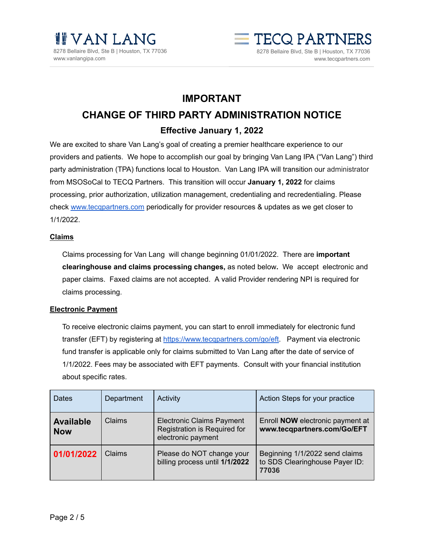



## **IMPORTANT**

# **CHANGE OF THIRD PARTY ADMINISTRATION NOTICE**

## **Effective January 1, 2022**

We are excited to share Van Lang's goal of creating a premier healthcare experience to our providers and patients. We hope to accomplish our goal by bringing Van Lang IPA ("Van Lang") third party administration (TPA) functions local to Houston. Van Lang IPA will transition our administrator from MSOSoCal to TECQ Partners. This transition will occur **January 1, 2022** for claims processing, prior authorization, utilization management, credentialing and recredentialing. Please check [www.tecqpartners.com](http://www.tecqpartners.com/) periodically for provider resources & updates as we get closer to 1/1/2022.

#### **Claims**

Claims processing for Van Lang will change beginning 01/01/2022. There are **important clearinghouse and claims processing changes,** as noted below**.** We accept electronic and paper claims. Faxed claims are not accepted. A valid Provider rendering NPI is required for claims processing.

#### **Electronic Payment**

To receive electronic claims payment, you can start to enroll immediately for electronic fund transfer (EFT) by registering at [https://www.tecqpartners.com/go/eft.](https://www.tecqpartners.com/go/eft) Payment via electronic fund transfer is applicable only for claims submitted to Van Lang after the date of service of 1/1/2022. Fees may be associated with EFT payments. Consult with your financial institution about specific rates.

| <b>Dates</b>                   | Department | Activity                                                                               | Action Steps for your practice                                            |
|--------------------------------|------------|----------------------------------------------------------------------------------------|---------------------------------------------------------------------------|
| <b>Available</b><br><b>Now</b> | Claims     | <b>Electronic Claims Payment</b><br>Registration is Required for<br>electronic payment | Enroll <b>NOW</b> electronic payment at<br>www.tecqpartners.com/Go/EFT    |
| 01/01/2022                     | Claims     | Please do NOT change your<br>billing process until 1/1/2022                            | Beginning 1/1/2022 send claims<br>to SDS Clearinghouse Payer ID:<br>77036 |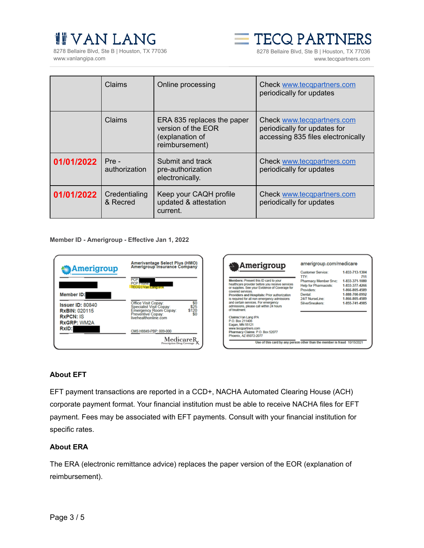

8278 Bellaire Blvd, Ste B | Houston, TX 77036 www.vanlangipa.com



8278 Bellaire Blvd, Ste B | Houston, TX 77036 www.tecqpartners.com

|            | Claims                    | Online processing                                                                     | Check www.tecqpartners.com<br>periodically for updates                                           |
|------------|---------------------------|---------------------------------------------------------------------------------------|--------------------------------------------------------------------------------------------------|
|            | Claims                    | ERA 835 replaces the paper<br>version of the EOR<br>(explanation of<br>reimbursement) | Check www.tecqpartners.com<br>periodically for updates for<br>accessing 835 files electronically |
| 01/01/2022 | Pre -<br>authorization    | Submit and track<br>pre-authorization<br>electronically.                              | Check www.tecqpartners.com<br>periodically for updates                                           |
| 01/01/2022 | Credentialing<br>& Recred | Keep your CAQH profile<br>updated & attestation<br>current.                           | Check www.tecqpartners.com<br>periodically for updates                                           |

#### **Member ID - Amerigroup - Effective Jan 1, 2022**



|                                                                                                | Customer Service:<br>TTY:    | 1-833-713-1304<br>711 |
|------------------------------------------------------------------------------------------------|------------------------------|-----------------------|
| Members: Present this ID card to your                                                          | Pharmacy Member Srvc:        | 1-833-371-1080        |
| healthcare provider before you receive services                                                | <b>Help for Pharmacists:</b> | 1.833.377.4266        |
| or supplies. See your Evidence of Coverage for<br>covered services.                            | Providers:                   | 1-866-805-4589        |
| Providers and Hospitals: Prior authorization                                                   | Dental:                      | 1-888-700-0992        |
| is required for all non emergency admissions                                                   | 24/7 NurseLine:              | 1-866-805-4589        |
| and certain services. For emergency<br>admissions, please call within 24 hours<br>of treatment | SilverSneakers:              | 1.855.741.4985        |
| Claims: Van Lang IPA<br>P.O. Box 211406                                                        |                              |                       |
| Eagan, MN 55121                                                                                |                              |                       |
| www.tecapartners.com                                                                           |                              |                       |
| Pharmacy Claims: P.O. Box 52077                                                                |                              |                       |
| Phoenix, AZ 85072-2077                                                                         |                              |                       |

### **About EFT**

EFT payment transactions are reported in a CCD+, NACHA Automated Clearing House (ACH) corporate payment format. Your financial institution must be able to receive NACHA files for EFT payment. Fees may be associated with EFT payments. Consult with your financial institution for specific rates.

#### **About ERA**

The ERA (electronic remittance advice) replaces the paper version of the EOR (explanation of reimbursement).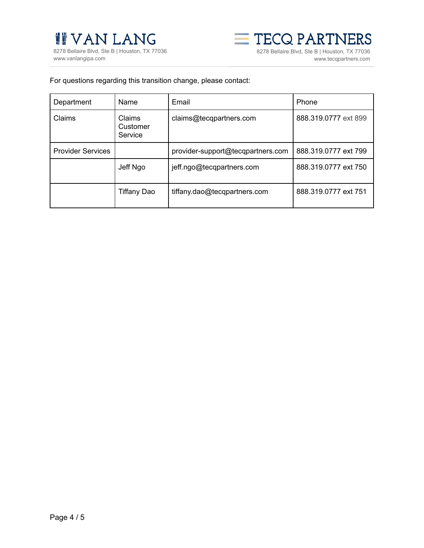



### For questions regarding this transition change, please contact:

| Department               | Name                          | Email                             | Phone                |
|--------------------------|-------------------------------|-----------------------------------|----------------------|
| Claims                   | Claims<br>Customer<br>Service | claims@tecqpartners.com           | 888.319.0777 ext 899 |
| <b>Provider Services</b> |                               | provider-support@tecqpartners.com | 888.319.0777 ext 799 |
|                          | Jeff Ngo                      | jeff.ngo@tecqpartners.com         | 888.319.0777 ext 750 |
|                          | <b>Tiffany Dao</b>            | tiffany.dao@tecqpartners.com      | 888.319.0777 ext 751 |